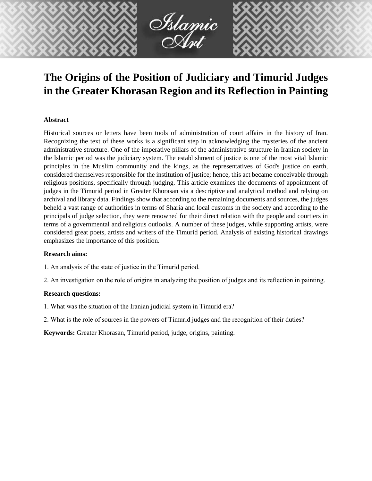

# **The Origins of the Position of Judiciary and Timurid Judges in the Greater Khorasan Region and its Reflection in Painting**

#### **Abstract**

Historical sources or letters have been tools of administration of court affairs in the history of Iran. Recognizing the text of these works is a significant step in acknowledging the mysteries of the ancient administrative structure. One of the imperative pillars of the administrative structure in Iranian society in the Islamic period was the judiciary system. The establishment of justice is one of the most vital Islamic principles in the Muslim community and the kings, as the representatives of God's justice on earth, considered themselves responsible for the institution of justice; hence, this act became conceivable through religious positions, specifically through judging. This article examines the documents of appointment of judges in the Timurid period in Greater Khorasan via a descriptive and analytical method and relying on archival and library data. Findings show that according to the remaining documents and sources, the judges beheld a vast range of authorities in terms of Sharia and local customs in the society and according to the principals of judge selection, they were renowned for their direct relation with the people and courtiers in terms of a governmental and religious outlooks. A number of these judges, while supporting artists, were considered great poets, artists and writers of the Timurid period. Analysis of existing historical drawings emphasizes the importance of this position.

#### **Research aims:**

- 1. An analysis of the state of justice in the Timurid period.
- 2. An investigation on the role of origins in analyzing the position of judges and its reflection in painting.

#### **Research questions:**

- 1. What was the situation of the Iranian judicial system in Timurid era?
- 2. What is the role of sources in the powers of Timurid judges and the recognition of their duties?

**Keywords:** Greater Khorasan, Timurid period, judge, origins, painting.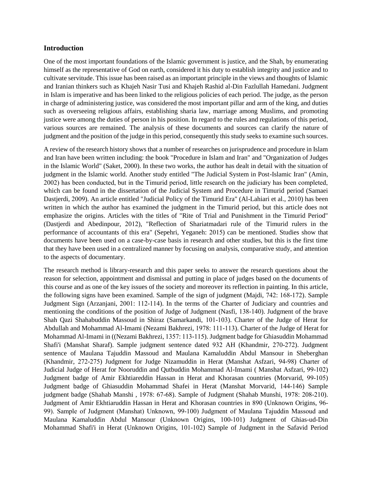#### **Introduction**

One of the most important foundations of the Islamic government is justice, and the Shah, by enumerating himself as the representative of God on earth, considered it his duty to establish integrity and justice and to cultivate servitude. This issue has been raised as an important principle in the views and thoughts of Islamic and Iranian thinkers such as Khajeh Nasir Tusi and Khajeh Rashid al-Din Fazlullah Hamedani. Judgment in Islam is imperative and has been linked to the religious policies of each period. The judge, as the person in charge of administering justice, was considered the most important pillar and arm of the king, and duties such as overseeing religious affairs, establishing sharia law, marriage among Muslims, and promoting justice were among the duties of person in his position. In regard to the rules and regulations of this period, various sources are remained. The analysis of these documents and sources can clarify the nature of judgment and the position of the judge in this period, consequently this study seeks to examine such sources.

A review of the research history shows that a number of researches on jurisprudence and procedure in Islam and Iran have been written including: the book "Procedure in Islam and Iran" and "Organization of Judges in the Islamic World" (Saket, 2000). In these two works, the author has dealt in detail with the situation of judgment in the Islamic world. Another study entitled "The Judicial System in Post-Islamic Iran" (Amin, 2002) has been conducted, but in the Timurid period, little research on the judiciary has been completed, which can be found in the dissertation of the Judicial System and Procedure in Timurid period (Samaei Dastjerdi, 2009). An article entitled "Judicial Policy of the Timurid Era" (Al-Lahiari et al., 2010) has been written in which the author has examined the judgment in the Timurid period, but this article does not emphasize the origins. Articles with the titles of "Rite of Trial and Punishment in the Timurid Period" (Dastjerdi and Abedinpour, 2012), "Reflection of Shariatmadari rule of the Timurid rulers in the performance of accountants of this era" (Sepehri, Yeganeh: 2015) can be mentioned. Studies show that documents have been used on a case-by-case basis in research and other studies, but this is the first time that they have been used in a centralized manner by focusing on analysis, comparative study, and attention to the aspects of documentary.

The research method is library-research and this paper seeks to answer the research questions about the reason for selection, appointment and dismissal and putting in place of judges based on the documents of this course and as one of the key issues of the society and moreover its reflection in painting. In this article, the following signs have been examined. Sample of the sign of judgment (Majdi, 742: 168-172). Sample Judgment Sign (Arzanjani, 2001: 112-114). In the terms of the Charter of Judiciary and countries and mentioning the conditions of the position of Judge of Judgment (Nasfi, 138-140). Judgment of the brave Shah Qazi Shahabuddin Massoud in Shiraz (Samarkandi, 101-103). Charter of the Judge of Herat for Abdullah and Mohammad Al-Imami (Nezami Bakhrezi, 1978: 111-113). Charter of the Judge of Herat for Mohammad Al-Imami in ((Nezami Bakhrezi, 1357: 113-115). Judgment badge for Ghiasuddin Mohammad Shafi'i (Manshat Sharaf). Sample judgment sentence dated 932 AH (Khandmir, 270-272). Judgment sentence of Maulana Tajuddin Massoud and Maulana Kamaluddin Abdul Mansour in Sheberghan (Khandmir, 272-275) Judgment for Judge Nizamuddin in Herat (Manshat Asfzari, 94-98) Charter of Judicial Judge of Herat for Nooruddin and Qutbuddin Mohammad Al-Imami ( Manshat Asfzari, 99-102) Judgment badge of Amir Ekhtiareddin Hassan in Herat and Khorasan countries (Morvarid, 99-105) Judgment badge of Ghiasuddin Mohammad Shafei in Herat (Manshat Morvarid, 144-146) Sample judgment badge (Shahab Manshi , 1978: 67-68). Sample of Judgment (Shahab Munshi, 1978: 208-210). Judgment of Amir Ekhtiaruddin Hassan in Herat and Khorasan countries in 890 (Unknown Origins, 96- 99). Sample of Judgment (Manshat) Unknown, 99-100) Judgment of Maulana Tajuddin Massoud and Maulana Kamaluddin Abdul Mansour (Unknown Origins, 100-101) Judgment of Ghias-ud-Din Mohammad Shafi'i in Herat (Unknown Origins, 101-102) Sample of Judgment in the Safavid Period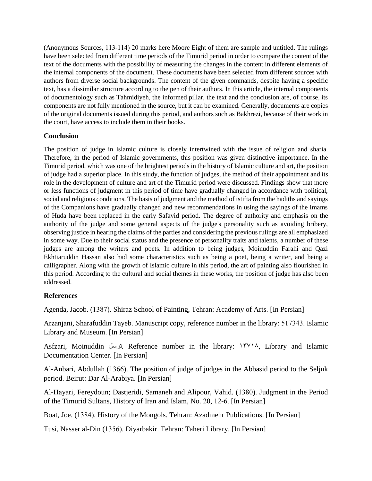(Anonymous Sources, 113-114) 20 marks here Moore Eight of them are sample and untitled. The rulings have been selected from different time periods of the Timurid period in order to compare the content of the text of the documents with the possibility of measuring the changes in the content in different elements of the internal components of the document. These documents have been selected from different sources with authors from diverse social backgrounds. The content of the given commands, despite having a specific text, has a dissimilar structure according to the pen of their authors. In this article, the internal components of documentology such as Tahmidiyeh, the informed pillar, the text and the conclusion are, of course, its components are not fully mentioned in the source, but it can be examined. Generally, documents are copies of the original documents issued during this period, and authors such as Bakhrezi, because of their work in the court, have access to include them in their books.

### **Conclusion**

The position of judge in Islamic culture is closely intertwined with the issue of religion and sharia. Therefore, in the period of Islamic governments, this position was given distinctive importance. In the Timurid period, which was one of the brightest periods in the history of Islamic culture and art, the position of judge had a superior place. In this study, the function of judges, the method of their appointment and its role in the development of culture and art of the Timurid period were discussed. Findings show that more or less functions of judgment in this period of time have gradually changed in accordance with political, social and religious conditions. The basis of judgment and the method of istifta from the hadiths and sayings of the Companions have gradually changed and new recommendations in using the sayings of the Imams of Huda have been replaced in the early Safavid period. The degree of authority and emphasis on the authority of the judge and some general aspects of the judge's personality such as avoiding bribery, observing justice in hearing the claims of the parties and considering the previous rulings are all emphasized in some way. Due to their social status and the presence of personality traits and talents, a number of these judges are among the writers and poets. In addition to being judges, Moinuddin Farahi and Qazi Ekhtiaruddin Hassan also had some characteristics such as being a poet, being a writer, and being a calligrapher. Along with the growth of Islamic culture in this period, the art of painting also flourished in this period. According to the cultural and social themes in these works, the position of judge has also been addressed.

## **References**

Agenda, Jacob. (1387). Shiraz School of Painting, Tehran: Academy of Arts. [In Persian]

Arzanjani, Sharafuddin Tayeb. Manuscript copy, reference number in the library: 517343. Islamic Library and Museum. [In Persian]

Asfzari, Moinuddin ترسل. Reference number in the library: 13718, Library and Islamic Documentation Center. [In Persian]

Al-Anbari, Abdullah (1366). The position of judge of judges in the Abbasid period to the Seljuk period. Beirut: Dar Al-Arabiya. [In Persian]

Al-Hayari, Fereydoun; Dastjeridi, Samaneh and Alipour, Vahid. (1380). Judgment in the Period of the Timurid Sultans, History of Iran and Islam, No. 20, 12-6. [In Persian]

Boat, Joe. (1384). History of the Mongols. Tehran: Azadmehr Publications. [In Persian]

Tusi, Nasser al-Din (1356). Diyarbakir. Tehran: Taheri Library. [In Persian]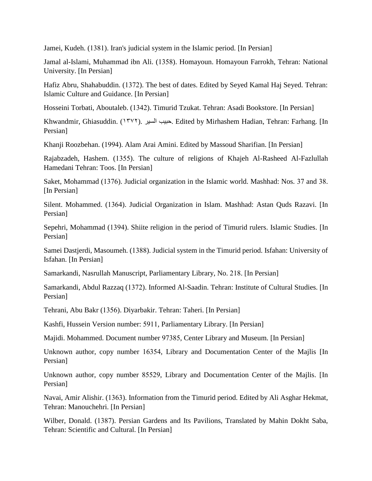Jamei, Kudeh. (1381). Iran's judicial system in the Islamic period. [In Persian]

Jamal al-Islami, Muhammad ibn Ali. (1358). Homayoun. Homayoun Farrokh, Tehran: National University. [In Persian]

Hafiz Abru, Shahabuddin. (1372). The best of dates. Edited by Seyed Kamal Haj Seyed. Tehran: Islamic Culture and Guidance. [In Persian]

Hosseini Torbati, Aboutaleb. (1342). Timurid Tzukat. Tehran: Asadi Bookstore. [In Persian]

Khwandmir, Ghiasuddin. (1372). السیر حبیب. Edited by Mirhashem Hadian, Tehran: Farhang. [In Persian]

Khanji Roozbehan. (1994). Alam Arai Amini. Edited by Massoud Sharifian. [In Persian]

Rajabzadeh, Hashem. (1355). The culture of religions of Khajeh Al-Rasheed Al-Fazlullah Hamedani Tehran: Toos. [In Persian]

Saket, Mohammad (1376). Judicial organization in the Islamic world. Mashhad: Nos. 37 and 38. [In Persian]

Silent. Mohammed. (1364). Judicial Organization in Islam. Mashhad: Astan Quds Razavi. [In Persian]

Sepehri, Mohammad (1394). Shiite religion in the period of Timurid rulers. Islamic Studies. [In Persian]

Samei Dastjerdi, Masoumeh. (1388). Judicial system in the Timurid period. Isfahan: University of Isfahan. [In Persian]

Samarkandi, Nasrullah Manuscript, Parliamentary Library, No. 218. [In Persian]

Samarkandi, Abdul Razzaq (1372). Informed Al-Saadin. Tehran: Institute of Cultural Studies. [In Persian]

Tehrani, Abu Bakr (1356). Diyarbakir. Tehran: Taheri. [In Persian]

Kashfi, Hussein Version number: 5911, Parliamentary Library. [In Persian]

Majidi. Mohammed. Document number 97385, Center Library and Museum. [In Persian]

Unknown author, copy number 16354, Library and Documentation Center of the Majlis [In Persian]

Unknown author, copy number 85529, Library and Documentation Center of the Majlis. [In Persian]

Navai, Amir Alishir. (1363). Information from the Timurid period. Edited by Ali Asghar Hekmat, Tehran: Manouchehri. [In Persian]

Wilber, Donald. (1387). Persian Gardens and Its Pavilions, Translated by Mahin Dokht Saba, Tehran: Scientific and Cultural. [In Persian]